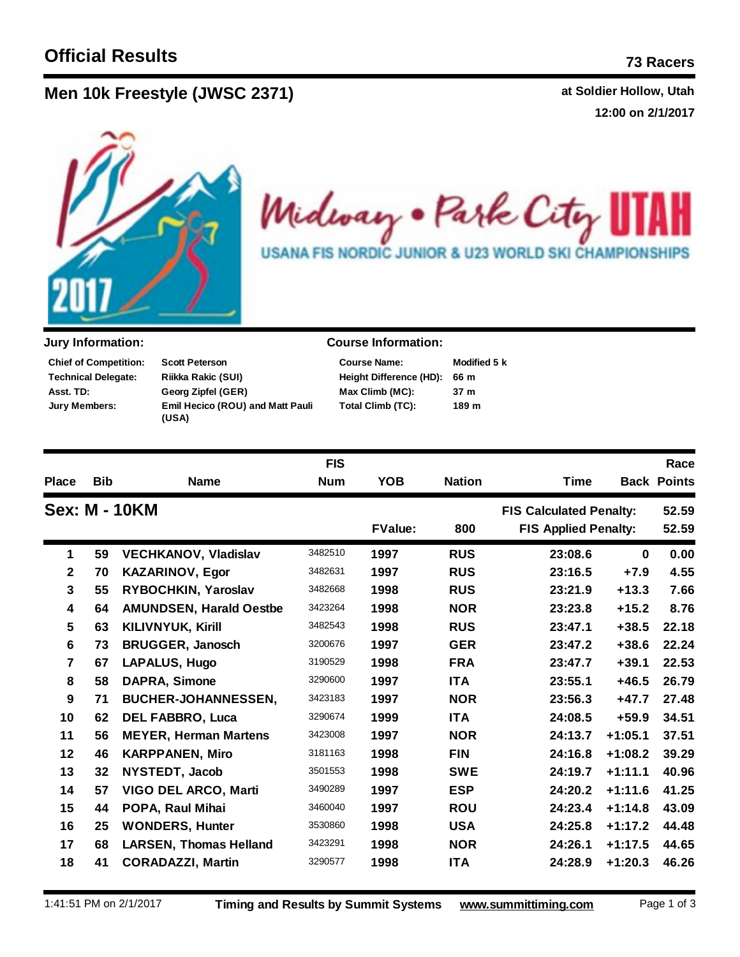**Men 10k F at Soldier Hollow, Utah reestyle (JWSC 2371)**

**12:00 on 2/1/2017**



Midway . Park City 11 **USANA FIS NORDIC JUNIOR & U23 WORLD SKI CHAMPIONSHIPS** 

| <b>Chief of Competition:</b> | <b>Scott Peterson</b>                            |
|------------------------------|--------------------------------------------------|
| Technical Delegate:          | Riikka Rakic (SUI)                               |
| Asst. TD:                    | Georg Zipfel (GER)                               |
| Jury Members:                | <b>Emil Hecico (ROU) and Matt Pauli</b><br>(USA) |

## **Jury Information: Course Information:**

**66 m Modified 5 k 189 m Height Difference (HD): Course Name: Total Climb (TC): Max Climb (MC): 37 m**

**Place Bib Name Num Time FIS YOB Nation Time** Back Points **Race Nation Sex: M - 10KM FIS Applied Penalty: 52.59 FIS Calculated Penalty: 52.59 FValue: 800 59 VECHKANOV, Vladislav** 3482510 **1997 RUS 23:08.6 0 0.00 70 KAZARINOV, Egor** 3482631 **1997 RUS 23:16.5 +7.9 4.55 55 RYBOCHKIN, Yaroslav** 3482668 **1998 RUS 23:21.9 +13.3 7.66 64 AMUNDSEN, Harald Oestbe** 3423264 **1998 NOR 23:23.8 +15.2 8.76 63 KILIVNYUK, Kirill** 3482543 **1998 RUS 23:47.1 +38.5 22.18 73 BRUGGER, Janosch** 3200676 **1997 GER 23:47.2 +38.6 22.24 67 LAPALUS, Hugo** 3190529 **1998 FRA 23:47.7 +39.1 22.53 58 DAPRA, Simone** 3290600 **1997 ITA 23:55.1 +46.5 26.79 71 BUCHER-JOHANNESSEN,** 3423183 **1997 NOR 23:56.3 +47.7 27.48 62 DEL FABBRO, Luca** 3290674 **1999 ITA 24:08.5 +59.9 34.51 56 MEYER, Herman Martens** 3423008 **1997 NOR 24:13.7 +1:05.1 37.51 46 KARPPANEN, Miro** 3181163 **1998 FIN 24:16.8 +1:08.2 39.29 32 NYSTEDT, Jacob** 3501553 **1998 SWE 24:19.7 +1:11.1 40.96 57 VIGO DEL ARCO, Marti** 3490289 **1997 ESP 24:20.2 +1:11.6 41.25 44 POPA, Raul Mihai** 3460040 **1997 ROU 24:23.4 +1:14.8 43.09 25 WONDERS, Hunter** 3530860 **1998 USA 24:25.8 +1:17.2 44.48 68 LARSEN, Thomas Helland** 3423291 **1998 NOR 24:26.1 +1:17.5 44.65 41 CORADAZZI, Martin** 3290577 **1998 ITA 24:28.9 +1:20.3 46.26**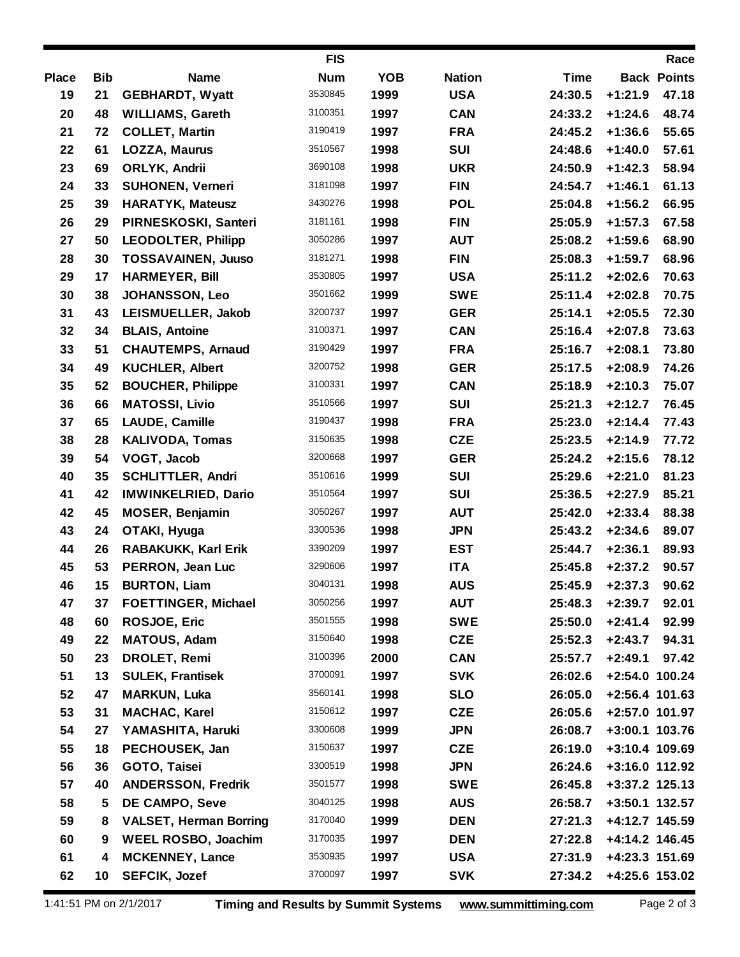|              |            |                                            | <b>FIS</b>         |              |                          |                    |                        | Race               |
|--------------|------------|--------------------------------------------|--------------------|--------------|--------------------------|--------------------|------------------------|--------------------|
| <b>Place</b> | <b>Bib</b> | <b>Name</b>                                | <b>Num</b>         | <b>YOB</b>   | <b>Nation</b>            | <b>Time</b>        |                        | <b>Back Points</b> |
| 19           | 21         | <b>GEBHARDT, Wyatt</b>                     | 3530845            | 1999         | <b>USA</b>               | 24:30.5            | $+1:21.9$              | 47.18              |
| 20           | 48         | <b>WILLIAMS, Gareth</b>                    | 3100351            | 1997         | <b>CAN</b>               | 24:33.2            | $+1:24.6$              | 48.74              |
| 21           | 72         | <b>COLLET, Martin</b>                      | 3190419            | 1997         | <b>FRA</b>               | 24:45.2            | $+1:36.6$              | 55.65              |
| 22           | 61         | LOZZA, Maurus                              | 3510567            | 1998         | <b>SUI</b>               | 24:48.6            | $+1:40.0$              | 57.61              |
| 23           | 69         | ORLYK, Andrii                              | 3690108            | 1998         | <b>UKR</b>               | 24:50.9            | $+1:42.3$              | 58.94              |
| 24           | 33         | <b>SUHONEN, Verneri</b>                    | 3181098            | 1997         | <b>FIN</b>               | 24:54.7            | $+1:46.1$              | 61.13              |
| 25           | 39         | <b>HARATYK, Mateusz</b>                    | 3430276            | 1998         | <b>POL</b>               | 25:04.8            | $+1:56.2$              | 66.95              |
| 26           | 29         | PIRNESKOSKI, Santeri                       | 3181161            | 1998         | <b>FIN</b>               | 25:05.9            | $+1:57.3$              | 67.58              |
| 27           | 50         | <b>LEODOLTER, Philipp</b>                  | 3050286            | 1997         | <b>AUT</b>               | 25:08.2            | $+1:59.6$              | 68.90              |
| 28           | 30         | <b>TOSSAVAINEN, Juuso</b>                  | 3181271            | 1998         | <b>FIN</b>               | 25:08.3            | $+1:59.7$              | 68.96              |
| 29           | 17         | <b>HARMEYER, Bill</b>                      | 3530805            | 1997         | <b>USA</b>               | 25:11.2            | $+2:02.6$              | 70.63              |
| 30           | 38         | JOHANSSON, Leo                             | 3501662            | 1999         | <b>SWE</b>               | 25:11.4            | $+2:02.8$              | 70.75              |
| 31           | 43         | LEISMUELLER, Jakob                         | 3200737            | 1997         | <b>GER</b>               | 25:14.1            | $+2:05.5$              | 72.30              |
| 32           | 34         | <b>BLAIS, Antoine</b>                      | 3100371            | 1997         | <b>CAN</b>               | 25:16.4            | $+2:07.8$              | 73.63              |
| 33           | 51         | <b>CHAUTEMPS, Arnaud</b>                   | 3190429            | 1997         | <b>FRA</b>               | 25:16.7            | $+2:08.1$              | 73.80              |
| 34           | 49         | <b>KUCHLER, Albert</b>                     | 3200752            | 1998         | <b>GER</b>               | 25:17.5            | $+2:08.9$              | 74.26              |
| 35           | 52         | <b>BOUCHER, Philippe</b>                   | 3100331            | 1997         | <b>CAN</b>               | 25:18.9            | $+2:10.3$              | 75.07              |
| 36           | 66         | <b>MATOSSI, Livio</b>                      | 3510566            | 1997         | <b>SUI</b>               | 25:21.3            | $+2:12.7$              | 76.45              |
| 37           | 65         | LAUDE, Camille                             | 3190437            | 1998         | <b>FRA</b>               | 25:23.0            | $+2:14.4$              | 77.43              |
| 38           | 28         | <b>KALIVODA, Tomas</b>                     | 3150635            | 1998         | <b>CZE</b>               | 25:23.5            | $+2:14.9$              | 77.72              |
| 39           | 54         | VOGT, Jacob                                | 3200668            | 1997         | <b>GER</b>               | 25:24.2            | $+2:15.6$              | 78.12              |
| 40           | 35         | <b>SCHLITTLER, Andri</b>                   | 3510616            | 1999         | <b>SUI</b>               | 25:29.6            | $+2:21.0$              | 81.23              |
| 41           | 42         | <b>IMWINKELRIED, Dario</b>                 | 3510564            | 1997         | <b>SUI</b>               | 25:36.5            | $+2:27.9$              | 85.21              |
| 42           | 45         | MOSER, Benjamin                            | 3050267            | 1997         | <b>AUT</b>               | 25:42.0            | $+2:33.4$              | 88.38              |
| 43           | 24         | OTAKI, Hyuga                               | 3300536            | 1998         | <b>JPN</b>               | 25:43.2            | $+2:34.6$              | 89.07              |
| 44           | 26         | RABAKUKK, Karl Erik                        | 3390209<br>3290606 | 1997         | <b>EST</b>               | 25:44.7            | $+2:36.1$              | 89.93              |
| 45           | 53         | PERRON, Jean Luc                           | 3040131            | 1997         | <b>ITA</b>               | 25:45.8            | $+2:37.2$              | 90.57              |
| 46           | 15         | <b>BURTON, Liam</b>                        | 3050256            | 1998         | <b>AUS</b>               | 25:45.9            | $+2:37.3$              | 90.62              |
| 47           | 37         | <b>FOETTINGER, Michael</b>                 | 3501555            | 1997         | <b>AUT</b>               | 25:48.3            | $+2:39.7$              | 92.01              |
| 48<br>49     | 60<br>22   | <b>ROSJOE, Eric</b><br><b>MATOUS, Adam</b> | 3150640            | 1998<br>1998 | <b>SWE</b><br><b>CZE</b> | 25:50.0<br>25:52.3 | $+2:41.4$<br>$+2:43.7$ | 92.99<br>94.31     |
| 50           | 23         | <b>DROLET, Remi</b>                        | 3100396            | 2000         | <b>CAN</b>               | 25:57.7            | $+2:49.1$              | 97.42              |
| 51           | 13         | <b>SULEK, Frantisek</b>                    | 3700091            | 1997         | <b>SVK</b>               | 26:02.6            | +2:54.0 100.24         |                    |
| 52           | 47         | <b>MARKUN, Luka</b>                        | 3560141            | 1998         | <b>SLO</b>               | 26:05.0            | +2:56.4 101.63         |                    |
| 53           | 31         | <b>MACHAC, Karel</b>                       | 3150612            | 1997         | <b>CZE</b>               | 26:05.6            | +2:57.0 101.97         |                    |
| 54           | 27         | YAMASHITA, Haruki                          | 3300608            | 1999         | <b>JPN</b>               | 26:08.7            | +3:00.1 103.76         |                    |
| 55           | 18         | PECHOUSEK, Jan                             | 3150637            | 1997         | <b>CZE</b>               | 26:19.0            | +3:10.4 109.69         |                    |
| 56           | 36         | GOTO, Taisei                               | 3300519            | 1998         | <b>JPN</b>               | 26:24.6            | +3:16.0 112.92         |                    |
| 57           | 40         | <b>ANDERSSON, Fredrik</b>                  | 3501577            | 1998         | <b>SWE</b>               | 26:45.8            | +3:37.2 125.13         |                    |
| 58           | 5          | DE CAMPO, Seve                             | 3040125            | 1998         | <b>AUS</b>               | 26:58.7            | +3:50.1 132.57         |                    |
| 59           | 8          | <b>VALSET, Herman Borring</b>              | 3170040            | 1999         | <b>DEN</b>               | 27:21.3            | +4:12.7 145.59         |                    |
| 60           | 9          | <b>WEEL ROSBO, Joachim</b>                 | 3170035            | 1997         | <b>DEN</b>               | 27:22.8            | +4:14.2 146.45         |                    |
| 61           | 4          | <b>MCKENNEY, Lance</b>                     | 3530935            | 1997         | <b>USA</b>               | 27:31.9            | +4:23.3 151.69         |                    |
| 62           | 10         | <b>SEFCIK, Jozef</b>                       | 3700097            | 1997         | <b>SVK</b>               | 27:34.2            | +4:25.6 153.02         |                    |
|              |            |                                            |                    |              |                          |                    |                        |                    |

1:41:51 PM on 2/1/2017 **Timing and Results by Summit Systems [www.summittiming.com](http://www.summittiming.com)** Page 2 of 3